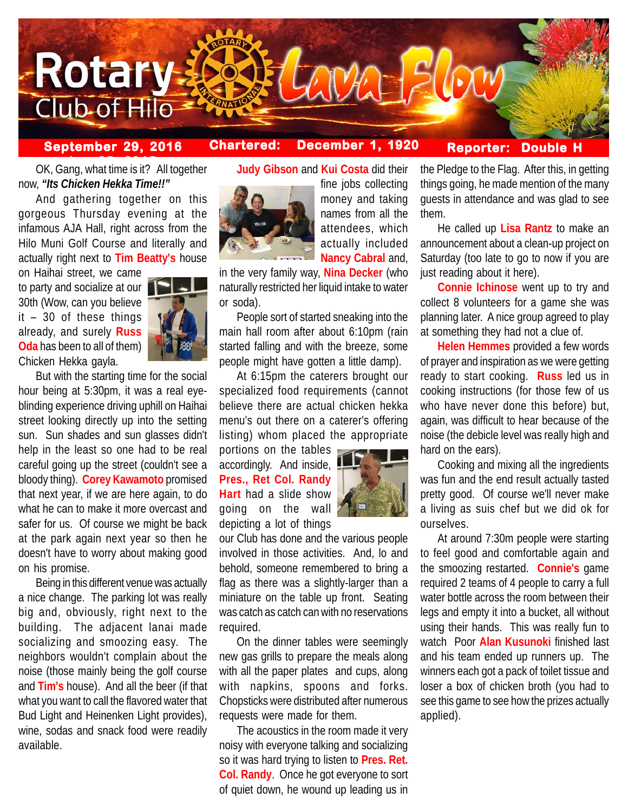

# **September 29, 2016 Chartered: December 1, 1920**

fine jobs collecting money and taking names from all the attendees, which actually included

## **Reporter: Double**

**berok 25.**<br>OK, Gang, what time is it? All together now, *"Its Chicken Hekka Time!!"*

And gathering together on this gorgeous Thursday evening at the infamous AJA Hall, right across from the Hilo Muni Golf Course and literally and actually right next to **Tim Beatty's** house

on Haihai street, we came to party and socialize at our 30th (Wow, can you believe it – 30 of these things already, and surely **Russ Oda** has been to all of them) Chicken Hekka gayla.



But with the starting time for the social hour being at 5:30pm, it was a real eyeblinding experience driving uphill on Haihai street looking directly up into the setting sun. Sun shades and sun glasses didn't help in the least so one had to be real careful going up the street (couldn't see a bloody thing). **Corey Kawamoto** promised that next year, if we are here again, to do what he can to make it more overcast and safer for us. Of course we might be back at the park again next year so then he doesn't have to worry about making good on his promise.

Being in this different venue was actually a nice change. The parking lot was really big and, obviously, right next to the building. The adjacent lanai made socializing and smoozing easy. The neighbors wouldn't complain about the noise (those mainly being the golf course and **Tim's** house). And all the beer (if that what you want to call the flavored water that Bud Light and Heinenken Light provides), wine, sodas and snack food were readily available.

**Judy Gibson** and **Kui Costa** did their



**Nancy Cabral** and, in the very family way, **Nina Decker** (who naturally restricted her liquid intake to water or soda).

People sort of started sneaking into the main hall room after about 6:10pm (rain started falling and with the breeze, some people might have gotten a little damp).

At 6:15pm the caterers brought our specialized food requirements (cannot believe there are actual chicken hekka menu's out there on a caterer's offering listing) whom placed the appropriate

portions on the tables accordingly. And inside, **Pres., Ret Col. Randy Hart** had a slide show going on the wall depicting a lot of things



our Club has done and the various people involved in those activities. And, lo and behold, someone remembered to bring a flag as there was a slightly-larger than a miniature on the table up front. Seating was catch as catch can with no reservations required.

On the dinner tables were seemingly new gas grills to prepare the meals along with all the paper plates and cups, along with napkins, spoons and forks. Chopsticks were distributed after numerous requests were made for them.

The acoustics in the room made it very noisy with everyone talking and socializing so it was hard trying to listen to **Pres. Ret. Col. Randy**. Once he got everyone to sort of quiet down, he wound up leading us in the Pledge to the Flag. After this, in getting things going, he made mention of the many guests in attendance and was glad to see them.

He called up **Lisa Rantz** to make an announcement about a clean-up project on Saturday (too late to go to now if you are just reading about it here).

**Connie Ichinose** went up to try and collect 8 volunteers for a game she was planning later. A nice group agreed to play at something they had not a clue of.

**Helen Hemmes** provided a few words of prayer and inspiration as we were getting ready to start cooking. **Russ** led us in cooking instructions (for those few of us who have never done this before) but, again, was difficult to hear because of the noise (the debicle level was really high and hard on the ears).

Cooking and mixing all the ingredients was fun and the end result actually tasted pretty good. Of course we'll never make a living as suis chef but we did ok for ourselves.

At around 7:30m people were starting to feel good and comfortable again and the smoozing restarted. **Connie's** game required 2 teams of 4 people to carry a full water bottle across the room between their legs and empty it into a bucket, all without using their hands. This was really fun to watch Poor **Alan Kusunoki** finished last and his team ended up runners up. The winners each got a pack of toilet tissue and loser a box of chicken broth (you had to see this game to see how the prizes actually applied).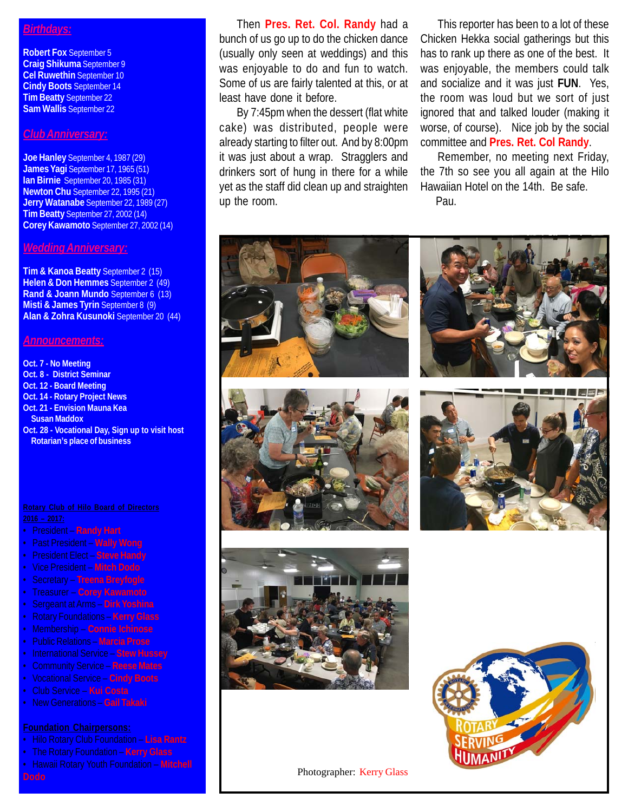## *Birthdays:*

**Robert Fox** September 5 **Craig Shikuma** September 9 **Cel Ruwethin** September 10 **Cindy Boots** September 14 **Tim Beatty** September 22 **Sam Wallis** September 22

### *Club Anniversary:*

**Joe Hanley** September 4, 1987 (29) **James Yagi** September 17, 1965 (51) **Ian Birnie** September 20, 1985 (31) **Newton Chu** September 22, 1995 (21) **Jerry Watanabe** September 22, 1989 (27) **Tim Beatty** September 27, 2002 (14) **Corey Kawamoto** September 27, 2002 (14)

### *Wedding Anniversary:*

**Tim & Kanoa Beatty** September 2 (15) **Helen & Don Hemmes** September 2 (49) **Rand & Joann Mundo** September 6 (13) **Misti & James Tyrin** September 8 (9) **Alan & Zohra Kusunoki** September 20 (44)

### *Announcements:*

**Oct. 7 - No Meeting Oct. 8 - District Seminar Oct. 12 - Board Meeting Oct. 14 - Rotary Project News Oct. 21 - Envision Mauna Kea Susan Maddox Oct. 28 - Vocational Day, Sign up to visit host Rotarian's place of business**

- President **Randy Hart**
- Past President **Wally Wong**
- President Elect **Steve Handy**
- Vice President **Mitch Dodo**
- Secretary **Treena Breyfogle**
- Treasurer **Corey Kawamoto**
- Sergeant at Arms **Dirk Yoshina**
- 
- Membership **Connie Ichinose**
- Public Relations **Marcia Prose**
- International Service **Stew Hussey**
- Community Service **Reese Mates**
- Vocational Service **Cindy Boots**
- Club Service **Kui Costa**
- New Generations **Gail Takaki**

- Hilo Rotary Club Foundation **Lisa Rantz**
- The Rotary Foundation **Kerry Glass**
- Hawaii Rotary Youth Foundation **Mitchell**

Then **Pres. Ret. Col. Randy** had a bunch of us go up to do the chicken dance (usually only seen at weddings) and this was enjoyable to do and fun to watch. Some of us are fairly talented at this, or at least have done it before.

By 7:45pm when the dessert (flat white cake) was distributed, people were already starting to filter out. And by 8:00pm it was just about a wrap. Stragglers and drinkers sort of hung in there for a while yet as the staff did clean up and straighten up the room.

This reporter has been to a lot of these Chicken Hekka social gatherings but this has to rank up there as one of the best. It was enjoyable, the members could talk and socialize and it was just **FUN**. Yes, the room was loud but we sort of just ignored that and talked louder (making it worse, of course). Nice job by the social committee and **Pres. Ret. Col Randy**.

Remember, no meeting next Friday, the 7th so see you all again at the Hilo Hawaiian Hotel on the 14th. Be safe. Pau.



Photographer: Kerry Glass